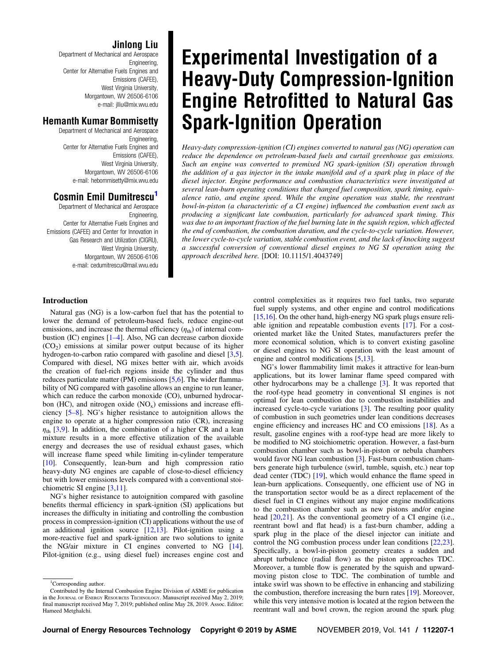# Jinlong Liu

Department of Mechanical and Aerospace Engineering, Center for Alternative Fuels Engines and Emissions (CAFEE), West Virginia University, Morgantown, WV 26506-6106 e-mail: [jlliu@mix.wvu.edu](mailto:jlliu@mix.wvu.edu)

## Hemanth Kumar Bommisetty

Department of Mechanical and Aerospace Engineering, Center for Alternative Fuels Engines and Emissions (CAFEE), West Virginia University, Morgantown, WV 26506-6106 e-mail: [hebommisetty@mix.wvu.edu](mailto:hebommisetty@mix.wvu.edu)

# Cosmin Emil Dumitrescu<sup>1</sup>

Department of Mechanical and Aerospace Engineering, Center for Alternative Fuels Engines and Emissions (CAFEE) and Center for Innovation in Gas Research and Utilization (CIGRU), West Virginia University, Morgantown, WV 26506-6106 e-mail: [cedumitrescu@mail.wvu.edu](mailto:cedumitrescu@mail.wvu.edu)

# Introduction

Natural gas (NG) is a low-carbon fuel that has the potential to lower the demand of petroleum-based fuels, reduce engine-out emissions, and increase the thermal efficiency  $(\eta_{th})$  of internal combustion (IC) engines [1–4]. Also, NG can decrease carbon dioxide  $(CO<sub>2</sub>)$  emissions at similar power output because of its higher hydrogen-to-carbon ratio compared with gasoline and diesel [[3,5\]](#page-10-0). Compared with diesel, NG mixes better with air, which avoids the creation of fuel-rich regions inside the cylinder and thus reduces particulate matter (PM) emissions [[5](#page-10-0),[6](#page-10-0)]. The wider flammability of NG compared with gasoline allows an engine to run leaner, which can reduce the carbon monoxide (CO), unburned hydrocarbon (HC), and nitrogen oxide  $(NO<sub>x</sub>)$  emissions and increase efficiency [5–8]. NG's higher resistance to autoignition allows the engine to operate at a higher compression ratio (CR), increasing  $\eta_{\text{th}}$  [[3,9\]](#page-10-0). In addition, the combination of a higher CR and a lean mixture results in a more effective utilization of the available energy and decreases the use of residual exhaust gases, which will increase flame speed while limiting in-cylinder temperature [[10\]](#page-11-0). Consequently, lean-burn and high compression ratio heavy-duty NG engines are capable of close-to-diesel efficiency but with lower emissions levels compared with a conventional stoichiometric SI engine [[3](#page-10-0)[,11](#page-11-0)].

NG's higher resistance to autoignition compared with gasoline benefits thermal efficiency in spark-ignition (SI) applications but increases the difficulty in initiating and controlling the combustion process in compression-ignition (CI) applications without the use of an additional ignition source [\[12,13](#page-11-0)]. Pilot-ignition using a more-reactive fuel and spark-ignition are two solutions to ignite the NG/air mixture in CI engines converted to NG [[14\]](#page-11-0). Pilot-ignition (e.g., using diesel fuel) increases engine cost and

# Experimental Investigation of a Heavy-Duty Compression-Ignition Engine Retrofitted to Natural Gas Spark-Ignition Operation

Heavy-duty compression-ignition (CI) engines converted to natural gas (NG) operation can reduce the dependence on petroleum-based fuels and curtail greenhouse gas emissions. Such an engine was converted to premixed NG spark-ignition (SI) operation through the addition of a gas injector in the intake manifold and of a spark plug in place of the diesel injector. Engine performance and combustion characteristics were investigated at several lean-burn operating conditions that changed fuel composition, spark timing, equivalence ratio, and engine speed. While the engine operation was stable, the reentrant bowl-in-piston (a characteristic of a CI engine) influenced the combustion event such as producing a significant late combustion, particularly for advanced spark timing. This was due to an important fraction of the fuel burning late in the squish region, which affected the end of combustion, the combustion duration, and the cycle-to-cycle variation. However, the lower cycle-to-cycle variation, stable combustion event, and the lack of knocking suggest a successful conversion of conventional diesel engines to NG SI operation using the approach described here. [DOI: 10.1115/1.4043749]

> control complexities as it requires two fuel tanks, two separate fuel supply systems, and other engine and control modifications [[15,16](#page-11-0)]. On the other hand, high-energy NG spark plugs ensure reliable ignition and repeatable combustion events [\[17](#page-11-0)]. For a costoriented market like the United States, manufacturers prefer the more economical solution, which is to convert existing gasoline or diesel engines to NG SI operation with the least amount of engine and control modifications [\[5,](#page-10-0)[13\]](#page-11-0).

> NG's lower flammability limit makes it attractive for lean-burn applications, but its lower laminar flame speed compared with other hydrocarbons may be a challenge [[3](#page-10-0)]. It was reported that the roof-type head geometry in conventional SI engines is not optimal for lean combustion due to combustion instabilities and increased cycle-to-cycle variations [\[3\]](#page-10-0). The resulting poor quality of combustion in such geometries under lean conditions decreases engine efficiency and increases HC and CO emissions [[18\]](#page-11-0). As a result, gasoline engines with a roof-type head are more likely to be modified to NG stoichiometric operation. However, a fast-burn combustion chamber such as bowl-in-piston or nebula chambers would favor NG lean combustion [\[3\]](#page-10-0). Fast-burn combustion chambers generate high turbulence (swirl, tumble, squish, etc.) near top dead center (TDC) [[19\]](#page-11-0), which would enhance the flame speed in lean-burn applications. Consequently, one efficient use of NG in the transportation sector would be as a direct replacement of the diesel fuel in CI engines without any major engine modifications to the combustion chamber such as new pistons and/or engine head [\[20,21](#page-11-0)]. As the conventional geometry of a CI engine (i.e., reentrant bowl and flat head) is a fast-burn chamber, adding a spark plug in the place of the diesel injector can initiate and control the NG combustion process under lean conditions [[22,23\]](#page-11-0). Specifically, a bowl-in-piston geometry creates a sudden and abrupt turbulence (radial flow) as the piston approaches TDC. Moreover, a tumble flow is generated by the squish and upwardmoving piston close to TDC. The combination of tumble and intake swirl was shown to be effective in enhancing and stabilizing the combustion, therefore increasing the burn rates [\[19](#page-11-0)]. Moreover, while this very intensive motion is located at the region between the reentrant wall and bowl crown, the region around the spark plug

<sup>&</sup>lt;sup>1</sup>Corresponding author.

Contributed by the Internal Combustion Engine Division of ASME for publication in the JOURNAL OF ENERGY RESOURCES TECHNOLOGY. Manuscript received May 2, 2019; final manuscript received May 7, 2019; published online May 28, 2019. Assoc. Editor: Hameed Metghalchi.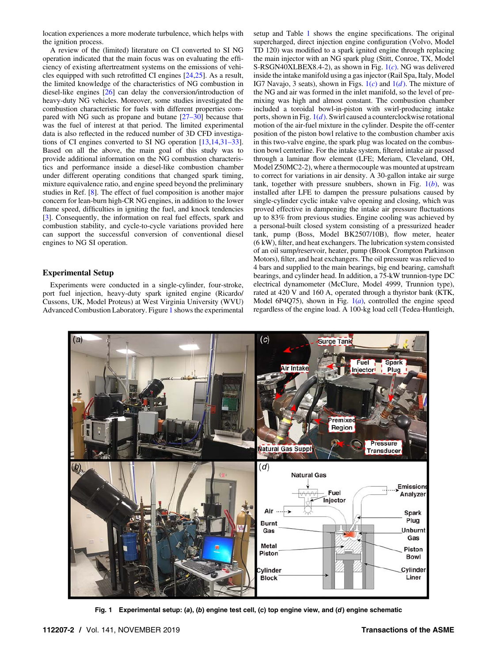<span id="page-1-0"></span>location experiences a more moderate turbulence, which helps with the ignition process.

A review of the (limited) literature on CI converted to SI NG operation indicated that the main focus was on evaluating the efficiency of existing aftertreatment systems on the emissions of vehicles equipped with such retrofitted CI engines [\[24,25](#page-11-0)]. As a result, the limited knowledge of the characteristics of NG combustion in diesel-like engines [\[26](#page-11-0)] can delay the conversion/introduction of heavy-duty NG vehicles. Moreover, some studies investigated the combustion characteristic for fuels with different properties compared with NG such as propane and butane [27–30] because that was the fuel of interest at that period. The limited experimental data is also reflected in the reduced number of 3D CFD investigations of CI engines converted to SI NG operation [[13,14](#page-11-0),31–33]. Based on all the above, the main goal of this study was to provide additional information on the NG combustion characteristics and performance inside a diesel-like combustion chamber under different operating conditions that changed spark timing, mixture equivalence ratio, and engine speed beyond the preliminary studies in Ref. [\[8\]](#page-10-0). The effect of fuel composition is another major concern for lean-burn high-CR NG engines, in addition to the lower flame speed, difficulties in igniting the fuel, and knock tendencies [[3](#page-10-0)]. Consequently, the information on real fuel effects, spark and combustion stability, and cycle-to-cycle variations provided here can support the successful conversion of conventional diesel engines to NG SI operation.

## Experimental Setup

Experiments were conducted in a single-cylinder, four-stroke, port fuel injection, heavy-duty spark ignited engine (Ricardo/ Cussons, UK, Model Proteus) at West Virginia University (WVU) Advanced Combustion Laboratory. Figure 1 shows the experimental

setup and Table [1](#page-2-0) shows the engine specifications. The original supercharged, direct injection engine configuration (Volvo, Model TD 120) was modified to a spark ignited engine through replacing the main injector with an NG spark plug (Stitt, Conroe, TX, Model S-RSGN40XLBEX8.4-2), as shown in Fig.  $1(c)$ . NG was delivered inside the intake manifold using a gas injector (Rail Spa, Italy, Model IG7 Navajo, 3 seats), shown in Figs.  $1(c)$  and  $1(d)$ . The mixture of the NG and air was formed in the inlet manifold, so the level of premixing was high and almost constant. The combustion chamber included a toroidal bowl-in-piston with swirl-producing intake ports, shown in Fig.  $1(d)$ . Swirl caused a counterclockwise rotational motion of the air-fuel mixture in the cylinder. Despite the off-center position of the piston bowl relative to the combustion chamber axis in this two-valve engine, the spark plug was located on the combustion bowl centerline. For the intake system, filtered intake air passed through a laminar flow element (LFE; Meriam, Cleveland, OH, Model Z50MC2-2), where a thermocouple was mounted at upstream to correct for variations in air density. A 30-gallon intake air surge tank, together with pressure snubbers, shown in Fig.  $1(b)$ , was installed after LFE to dampen the pressure pulsations caused by single-cylinder cyclic intake valve opening and closing, which was proved effective in dampening the intake air pressure fluctuations up to 83% from previous studies. Engine cooling was achieved by a personal-built closed system consisting of a pressurized header tank, pump (Boss, Model BK2507/10B), flow meter, heater (6 kW), filter, and heat exchangers. The lubrication system consisted of an oil sump/reservoir, heater, pump (Brook Crompton Parkinson Motors), filter, and heat exchangers. The oil pressure was relieved to 4 bars and supplied to the main bearings, big end bearing, camshaft bearings, and cylinder head. In addition, a 75-kW trunnion-type DC electrical dynamometer (McClure, Model 4999, Trunnion type), rated at 420 V and 160 A, operated through a thyristor bank (KTK, Model 6P4Q75), shown in Fig.  $1(a)$ , controlled the engine speed regardless of the engine load. A 100-kg load cell (Tedea-Huntleigh,



Fig. 1 Experimental setup: (a), (b) engine test cell, (c) top engine view, and (d) engine schematic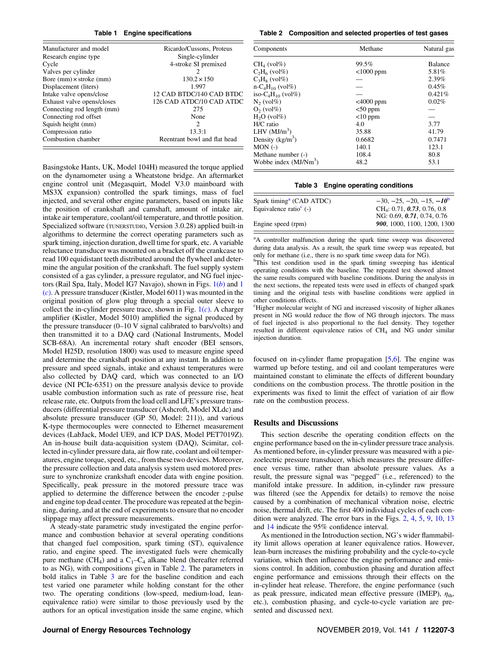#### Table 1 Engine specifications

<span id="page-2-0"></span>

| Manufacturer and model           | Ricardo/Cussons, Proteus     |  |  |
|----------------------------------|------------------------------|--|--|
| Research engine type             | Single-cylinder              |  |  |
| Cycle                            | 4-stroke SI premixed         |  |  |
| Valves per cylinder              | 2                            |  |  |
| Bore $(mm) \times$ stroke $(mm)$ | $130.2 \times 150$           |  |  |
| Displacement (liters)            | 1.997                        |  |  |
| Intake valve opens/close         | 12 CAD BTDC/140 CAD BTDC     |  |  |
| Exhaust valve opens/closes       | 126 CAD ATDC/10 CAD ATDC     |  |  |
| Connecting rod length (mm)       | 275                          |  |  |
| Connecting rod offset            | None                         |  |  |
| Squish height (mm)               | $\mathcal{D}_{\mathcal{L}}$  |  |  |
| Compression ratio                | 13.3:1                       |  |  |
| Combustion chamber               | Reentrant bowl and flat head |  |  |

Basingstoke Hants, UK, Model 104H) measured the torque applied on the dynamometer using a Wheatstone bridge. An aftermarket engine control unit (Megasquirt, Model V3.0 mainboard with MS3X expansion) controlled the spark timings, mass of fuel injected, and several other engine parameters, based on inputs like the position of crankshaft and camshaft, amount of intake air, intake air temperature, coolant/oil temperature, and throttle position. Specialized software (TUNERSTUDIO, Version 3.0.28) applied built-in algorithms to determine the correct operating parameters such as spark timing, injection duration, dwell time for spark, etc. A variable reluctance transducer was mounted on a bracket off the crankcase to read 100 equidistant teeth distributed around the flywheel and determine the angular position of the crankshaft. The fuel supply system consisted of a gas cylinder, a pressure regulator, and NG fuel injectors (Rail Spa, Italy, Model IG7 Navajo), shown in Figs.  $1(b)$  $1(b)$  and [1](#page-1-0)  $(c)$  $(c)$  $(c)$ . A pressure transducer (Kistler, Model 6011) was mounted in the original position of glow plug through a special outer sleeve to collect the in-cylinder pressure trace, shown in Fig.  $1(c)$  $1(c)$ . A charger amplifier (Kistler, Model 5010) amplified the signal produced by the pressure transducer (0–10 V signal calibrated to bars/volts) and then transmitted it to a DAQ card (National Instruments, Model SCB-68A). An incremental rotary shaft encoder (BEI sensors, Model H25D, resolution 1800) was used to measure engine speed and determine the crankshaft position at any instant. In addition to pressure and speed signals, intake and exhaust temperatures were also collected by DAQ card, which was connected to an I/O device (NI PCIe-6351) on the pressure analysis device to provide usable combustion information such as rate of pressure rise, heat release rate, etc. Outputs from the load cell and LFE's pressure transducers (differential pressure transducer (Ashcroft, Model XLdc) and absolute pressure transducer (GP 50, Model: 211)), and various K-type thermocouples were connected to Ethernet measurement devices (LabJack, Model UE9, and ICP DAS, Model PET7019Z). An in-house built data-acquisition system (DAQ), Scimitar, collected in-cylinder pressure data, air flow rate, coolant and oil temperatures, engine torque, speed, etc., from these two devices. Moreover, the pressure collection and data analysis system used motored pressure to synchronize crankshaft encoder data with engine position. Specifically, peak pressure in the motored pressure trace was applied to determine the difference between the encoder  $z$ -pulse and engine top dead center. The procedure was repeated at the beginning, during, and at the end of experiments to ensure that no encoder slippage may affect pressure measurements.

A steady-state parametric study investigated the engine performance and combustion behavior at several operating conditions that changed fuel composition, spark timing (ST), equivalence ratio, and engine speed. The investigated fuels were chemically pure methane (CH<sub>4</sub>) and a  $C_1-C_4$  alkane blend (hereafter referred to as NG), with compositions given in Table 2. The parameters in bold italics in Table 3 are for the baseline condition and each test varied one parameter while holding constant for the other two. The operating conditions (low-speed, medium-load, leanequivalence ratio) were similar to those previously used by the authors for an optical investigation inside the same engine, which

Table 2 Composition and selected properties of test gases

| Components              | Methane      | Natural gas    |  |
|-------------------------|--------------|----------------|--|
| $CH4$ (vol%)            | 99.5%        | <b>Balance</b> |  |
| $C_2H_6$ (vol%)         | $<$ 1000 ppm | 5.81%          |  |
| $C_3H_8$ (vol%)         |              | 2.39%          |  |
| $n - C_4H_{10}$ (vol%)  |              | 0.45%          |  |
| iso- $C_4H_{10}$ (vol%) |              | 0.421%         |  |
| $N_2$ (vol $\%$ )       | $<$ 4000 ppm | 0.02%          |  |
| $O2$ (vol $%$ )         | $<$ 50 ppm   |                |  |
| $H2O$ (vol%)            | $<$ 10 ppm   |                |  |
| H/C ratio               | 4.0          | 3.77           |  |
| LHV $(MJ/m3)$           | 35.88        | 41.79          |  |
| Density $(kg/m3)$       | 0.6682       | 0.7471         |  |
| $MON( - )$              | 140.1        | 123.1          |  |
| Methane number (-)      | 108.4        | 80.8           |  |
| Wobbe index $(MJ/Nm^3)$ | 48.2         | 53.1           |  |

#### Table 3 Engine operating conditions

| Spark timing <sup>a</sup> (CAD ATDC) | $-30, -25, -20, -15, -10^{\circ}$       |
|--------------------------------------|-----------------------------------------|
| Equivalence ratio $\epsilon$ (-)     | CH <sub>4</sub> : 0.71, 0.73, 0.76, 0.8 |
|                                      | NG: 0.69, 0.71, 0.74, 0.76              |
| Engine speed (rpm)                   | 900, 1000, 1100, 1200, 1300             |
|                                      |                                         |

<sup>a</sup>A controller malfunction during the spark time sweep was discovered during data analysis. As a result, the spark time sweep was repeated, but only for methane (i.e., there is no spark time sweep data for NG).

<sup>b</sup>This test condition used in the spark timing sweeping has identical operating conditions with the baseline. The repeated test showed almost the same results compared with baseline conditions. During the analysis in the next sections, the repeated tests were used in effects of changed spark timing and the original tests with baseline conditions were applied in other conditions effects.

c Higher molecular weight of NG and increased viscosity of higher alkanes present in NG would reduce the flow of NG through injectors. The mass of fuel injected is also proportional to the fuel density. They together resulted in different equivalence ratios of CH<sub>4</sub> and NG under similar injection duration.

focused on in-cylinder flame propagation [\[5,6\]](#page-10-0). The engine was warmed up before testing, and oil and coolant temperatures were maintained constant to eliminate the effects of different boundary conditions on the combustion process. The throttle position in the experiments was fixed to limit the effect of variation of air flow rate on the combustion process.

#### Results and Discussions

This section describe the operating condition effects on the engine performance based on the in-cylinder pressure trace analysis. As mentioned before, in-cylinder pressure was measured with a piezoelectric pressure transducer, which measures the pressure difference versus time, rather than absolute pressure values. As a result, the pressure signal was "pegged" (i.e., referenced) to the manifold intake pressure. In addition, in-cylinder raw pressure was filtered (see the Appendix for details) to remove the noise caused by a combination of mechanical vibration noise, electric noise, thermal drift, etc. The first 400 individual cycles of each condition were analyzed. The error bars in the Figs. [2](#page-3-0), [4,](#page-5-0) [5](#page-5-0), [9,](#page-7-0) [10,](#page-7-0) [13](#page-9-0) and [14](#page-9-0) indicate the 95% confidence interval.

As mentioned in the Introduction section, NG's wider flammability limit allows operation at leaner equivalence ratios. However, lean-burn increases the misfiring probability and the cycle-to-cycle variation, which then influence the engine performance and emissions control. In addition, combustion phasing and duration affect engine performance and emissions through their effects on the in-cylinder heat release. Therefore, the engine performance (such as peak pressure, indicated mean effective pressure (IMEP),  $\eta_{\text{th}}$ , etc.), combustion phasing, and cycle-to-cycle variation are presented and discussed next.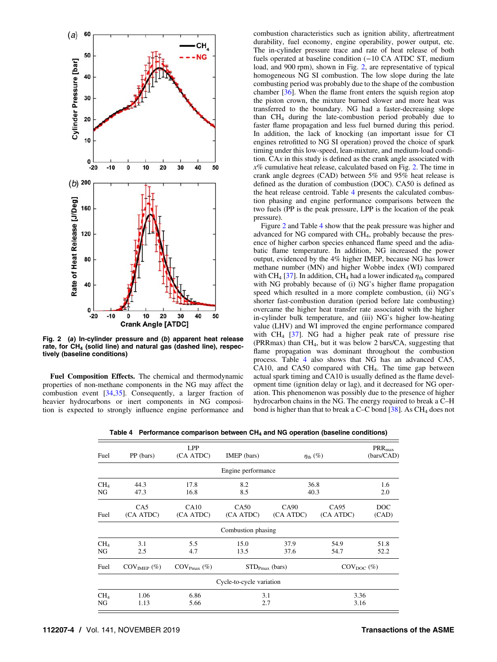<span id="page-3-0"></span>

Fig. 2 (a) In-cylinder pressure and (b) apparent heat release rate, for  $CH<sub>4</sub>$  (solid line) and natural gas (dashed line), respectively (baseline conditions)

Fuel Composition Effects. The chemical and thermodynamic properties of non-methane components in the NG may affect the combustion event [\[34,35](#page-11-0)]. Consequently, a larger fraction of heavier hydrocarbons or inert components in NG composition is expected to strongly influence engine performance and combustion characteristics such as ignition ability, aftertreatment durability, fuel economy, engine operability, power output, etc. The in-cylinder pressure trace and rate of heat release of both fuels operated at baseline condition (−10 CA ATDC ST, medium load, and 900 rpm), shown in Fig. 2, are representative of typical homogeneous NG SI combustion. The low slope during the late combusting period was probably due to the shape of the combustion chamber [[36\]](#page-11-0). When the flame front enters the squish region atop the piston crown, the mixture burned slower and more heat was transferred to the boundary. NG had a faster-decreasing slope than  $CH<sub>4</sub>$  during the late-combustion period probably due to faster flame propagation and less fuel burned during this period. In addition, the lack of knocking (an important issue for CI engines retrofitted to NG SI operation) proved the choice of spark timing under this low-speed, lean-mixture, and medium-load condition. CAx in this study is defined as the crank angle associated with  $x\%$  cumulative heat release, calculated based on Fig. 2. The time in crank angle degrees (CAD) between 5% and 95% heat release is defined as the duration of combustion (DOC). CA50 is defined as the heat release centroid. Table 4 presents the calculated combustion phasing and engine performance comparisons between the two fuels (PP is the peak pressure, LPP is the location of the peak pressure).

Figure 2 and Table 4 show that the peak pressure was higher and advanced for NG compared with CH4, probably because the presence of higher carbon species enhanced flame speed and the adiabatic flame temperature. In addition, NG increased the power output, evidenced by the 4% higher IMEP, because NG has lower methane number (MN) and higher Wobbe index (WI) compared with CH<sub>4</sub> [[37\]](#page-11-0). In addition, CH<sub>4</sub> had a lower indicated  $\eta_{\text{th}}$  compared with NG probably because of (i) NG's higher flame propagation speed which resulted in a more complete combustion, (ii) NG's shorter fast-combustion duration (period before late combusting) overcame the higher heat transfer rate associated with the higher in-cylinder bulk temperature, and (iii) NG's higher low-heating value (LHV) and WI improved the engine performance compared with  $CH_4$  [\[37](#page-11-0)]. NG had a higher peak rate of pressure rise (PRRmax) than  $CH_4$ , but it was below 2 bars/CA, suggesting that flame propagation was dominant throughout the combustion process. Table 4 also shows that NG has an advanced CA5, CA10, and CA50 compared with  $CH<sub>4</sub>$ . The time gap between actual spark timing and CA10 is usually defined as the flame development time (ignition delay or lag), and it decreased for NG operation. This phenomenon was possibly due to the presence of higher hydrocarbon chains in the NG. The energy required to break a C–H bond is higher than that to break a C–C bond  $[38]$  $[38]$ . As CH<sub>4</sub> does not

Table 4 Performance comparison between  $CH<sub>4</sub>$  and NG operation (baseline conditions)

| Fuel                  | PP (bars)                      | <b>LPP</b><br>(CA ATDC)        | IMEP (bars)              |                   | $\eta_{\text{th}}(\%)$        | $PRR_{max}$<br>(bars/CAD) |
|-----------------------|--------------------------------|--------------------------------|--------------------------|-------------------|-------------------------------|---------------------------|
|                       |                                |                                | Engine performance       |                   |                               |                           |
| CH <sub>4</sub><br>NG | 44.3<br>47.3                   | 17.8<br>16.8                   | 8.2<br>8.5               | 36.8<br>40.3      |                               | 1.6<br>2.0                |
| Fuel                  | CA5<br>(CA ATDC)               | CA10<br>(CA ATDC)              | CA50<br>(CA ATDC)        | CA90<br>(CA ATDC) | CA <sub>95</sub><br>(CA ATDC) | DOC<br>(CAD)              |
|                       |                                |                                | Combustion phasing       |                   |                               |                           |
| CH <sub>4</sub><br>NG | 3.1<br>2.5                     | 5.5<br>4.7                     | 15.0<br>13.5             | 37.9<br>37.6      | 54.9<br>54.7                  | 51.8<br>52.2              |
| Fuel                  | $\text{COV}_{\text{IMEP}}$ (%) | $\text{COV}_{\text{Pmax}}$ (%) | $STD_{Pmax}$ (bars)      |                   | $\text{COV}_{\text{DOC}}$ (%) |                           |
|                       |                                |                                | Cycle-to-cycle variation |                   |                               |                           |
| CH <sub>4</sub><br>NG | 1.06<br>1.13                   | 6.86<br>5.66                   | 3.1<br>2.7               |                   | 3.36<br>3.16                  |                           |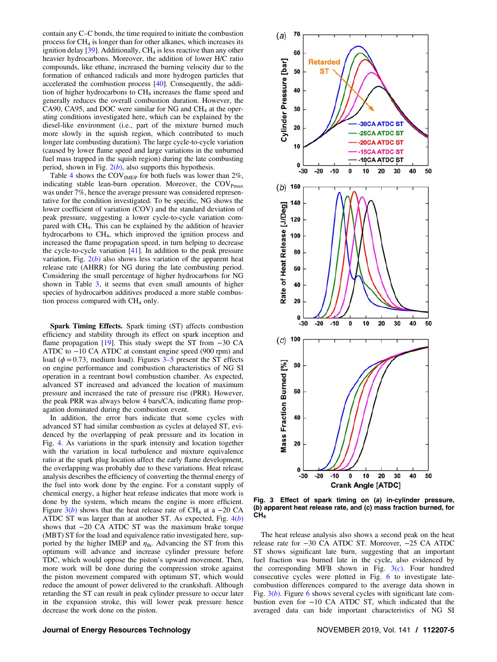<span id="page-4-0"></span>contain any C–C bonds, the time required to initiate the combustion process for CH4 is longer than for other alkanes, which increases its ignition delay  $[39]$  $[39]$ . Additionally, CH<sub>4</sub> is less reactive than any other heavier hydrocarbons. Moreover, the addition of lower H/C ratio compounds, like ethane, increased the burning velocity due to the formation of enhanced radicals and more hydrogen particles that accelerated the combustion process [\[40](#page-11-0)]. Consequently, the addition of higher hydrocarbons to CH<sub>4</sub> increases the flame speed and generally reduces the overall combustion duration. However, the CA90, CA95, and DOC were similar for NG and CH<sub>4</sub> at the operating conditions investigated here, which can be explained by the diesel-like environment (i.e., part of the mixture burned much more slowly in the squish region, which contributed to much longer late combusting duration). The large cycle-to-cycle variation (caused by lower flame speed and large variations in the unburned fuel mass trapped in the squish region) during the late combusting period, shown in Fig.  $2(b)$  $2(b)$ , also supports this hypothesis.

Table [4](#page-3-0) shows the COV<sub>IMEP</sub> for both fuels was lower than  $2\%$ , indicating stable lean-burn operation. Moreover, the  $COV_{Pmax}$ was under 7%, hence the average pressure was considered representative for the condition investigated. To be specific, NG shows the lower coefficient of variation (COV) and the standard deviation of peak pressure, suggesting a lower cycle-to-cycle variation compared with CH4. This can be explained by the addition of heavier hydrocarbons to CH4, which improved the ignition process and increased the flame propagation speed, in turn helping to decrease the cycle-to-cycle variation [\[41](#page-11-0)]. In addition to the peak pressure variation, Fig.  $2(b)$  $2(b)$  also shows less variation of the apparent heat release rate (AHRR) for NG during the late combusting period. Considering the small percentage of higher hydrocarbons for NG shown in Table [3,](#page-2-0) it seems that even small amounts of higher species of hydrocarbon additives produced a more stable combustion process compared with  $CH<sub>4</sub>$  only.

Spark Timing Effects. Spark timing (ST) affects combustion efficiency and stability through its effect on spark inception and flame propagation [[19](#page-11-0)]. This study swept the ST from −30 CA ATDC to −10 CA ATDC at constant engine speed (900 rpm) and load ( $\phi$  = 0.73, medium load). Figures 3–[5](#page-5-0) present the ST effects on engine performance and combustion characteristics of NG SI operation in a reentrant bowl combustion chamber. As expected, advanced ST increased and advanced the location of maximum pressure and increased the rate of pressure rise (PRR). However, the peak PRR was always below 4 bars/CA, indicating flame propagation dominated during the combustion event.

In addition, the error bars indicate that some cycles with advanced ST had similar combustion as cycles at delayed ST, evidenced by the overlapping of peak pressure and its location in Fig. [4](#page-5-0). As variations in the spark intensity and location together with the variation in local turbulence and mixture equivalence ratio at the spark plug location affect the early flame development, the overlapping was probably due to these variations. Heat release analysis describes the efficiency of converting the thermal energy of the fuel into work done by the engine. For a constant supply of chemical energy, a higher heat release indicates that more work is done by the system, which means the engine is more efficient. Figure  $3(b)$  shows that the heat release rate of CH<sub>4</sub> at a -20 CA ATDC ST was larger than at another ST. As expected, Fig.  $4(b)$  $4(b)$ shows that −20 CA ATDC ST was the maximum brake torque (MBT) ST for the load and equivalence ratio investigated here, supported by the higher IMEP and  $\eta_{\text{th}}$ . Advancing the ST from this optimum will advance and increase cylinder pressure before TDC, which would oppose the piston's upward movement. Then, more work will be done during the compression stroke against the piston movement compared with optimum ST, which would reduce the amount of power delivered to the crankshaft. Although retarding the ST can result in peak cylinder pressure to occur later in the expansion stroke, this will lower peak pressure hence decrease the work done on the piston.



Fig. 3 Effect of spark timing on (a) in-cylinder pressure, (b) apparent heat release rate, and (c) mass fraction burned, for CH<sub>4</sub>

The heat release analysis also shows a second peak on the heat release rate for −30 CA ATDC ST. Moreover, −25 CA ATDC ST shows significant late burn, suggesting that an important fuel fraction was burned late in the cycle, also evidenced by the corresponding MFB shown in Fig.  $3(c)$ . Four hundred consecutive cycles were plotted in Fig. [6](#page-6-0) to investigate latecombustion differences compared to the average data shown in Fig.  $3(b)$ . Figure [6](#page-6-0) shows several cycles with significant late combustion even for −10 CA ATDC ST, which indicated that the averaged data can hide important characteristics of NG SI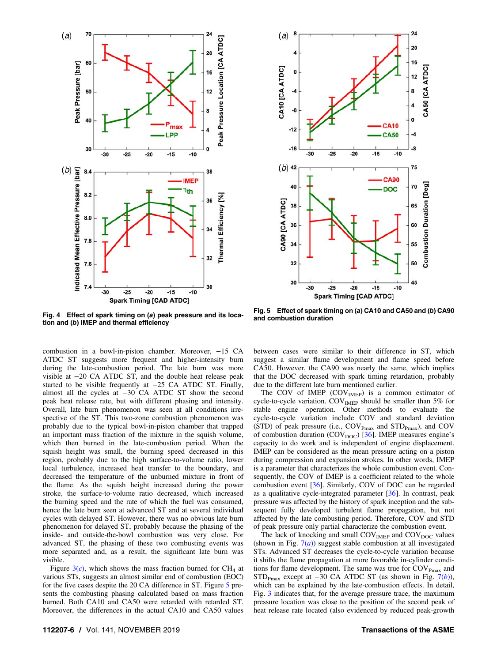<span id="page-5-0"></span>



Fig. 4 Effect of spark timing on (a) peak pressure and its location and (b) IMEP and thermal efficiency

combustion in a bowl-in-piston chamber. Moreover, −15 CA ATDC ST suggests more frequent and higher-intensity burn during the late-combustion period. The late burn was more visible at −20 CA ATDC ST, and the double heat release peak started to be visible frequently at −25 CA ATDC ST. Finally, almost all the cycles at −30 CA ATDC ST show the second peak heat release rate, but with different phasing and intensity. Overall, late burn phenomenon was seen at all conditions irrespective of the ST. This two-zone combustion phenomenon was probably due to the typical bowl-in-piston chamber that trapped an important mass fraction of the mixture in the squish volume, which then burned in the late-combustion period. When the squish height was small, the burning speed decreased in this region, probably due to the high surface-to-volume ratio, lower local turbulence, increased heat transfer to the boundary, and decreased the temperature of the unburned mixture in front of the flame. As the squish height increased during the power stroke, the surface-to-volume ratio decreased, which increased the burning speed and the rate of which the fuel was consumed, hence the late burn seen at advanced ST and at several individual cycles with delayed ST. However, there was no obvious late burn phenomenon for delayed ST, probably because the phasing of the inside- and outside-the-bowl combustion was very close. For advanced ST, the phasing of these two combusting events was more separated and, as a result, the significant late burn was visible.

Figure  $3(c)$  $3(c)$ , which shows the mass fraction burned for CH<sub>4</sub> at various STs, suggests an almost similar end of combustion (EOC) for the five cases despite the 20 CA difference in ST. Figure 5 presents the combusting phasing calculated based on mass fraction burned. Both CA10 and CA50 were retarded with retarded ST. Moreover, the differences in the actual CA10 and CA50 values

Fig. 5 Effect of spark timing on (a) CA10 and CA50 and (b) CA90 and combustion duration

between cases were similar to their difference in ST, which suggest a similar flame development and flame speed before CA50. However, the CA90 was nearly the same, which implies that the DOC decreased with spark timing retardation, probably due to the different late burn mentioned earlier.

The COV of IMEP  $(COV<sub>IMEP</sub>)$  is a common estimator of cycle-to-cycle variation.  $COV<sub>IMEP</sub>$  should be smaller than 5% for stable engine operation. Other methods to evaluate the cycle-to-cycle variation include COV and standard deviation (STD) of peak pressure (i.e.,  $COV_{Pmax}$  and  $STD_{Pmax}$ ), and  $COV$ of combustion duration (COV<sub>DOC</sub>) [[36\]](#page-11-0). IMEP measures engine's capacity to do work and is independent of engine displacement. IMEP can be considered as the mean pressure acting on a piston during compression and expansion strokes. In other words, IMEP is a parameter that characterizes the whole combustion event. Consequently, the COV of IMEP is a coefficient related to the whole combustion event [\[36](#page-11-0)]. Similarly, COV of DOC can be regarded as a qualitative cycle-integrated parameter  $[36]$  $[36]$ . In contrast, peak pressure was affected by the history of spark inception and the subsequent fully developed turbulent flame propagation, but not affected by the late combusting period. Therefore, COV and STD of peak pressure only partial characterize the combustion event.

The lack of knocking and small  $COV<sub>IMEP</sub>$  and  $COV<sub>DOC</sub>$  values (shown in Fig.  $7(a)$  $7(a)$ ) suggest stable combustion at all investigated STs. Advanced ST decreases the cycle-to-cycle variation because it shifts the flame propagation at more favorable in-cylinder conditions for flame development. The same was true for  $COV_{Pmax}$  and STD<sub>Pmax</sub> except at −30 CA ATDC ST (as shown in Fig. [7\(](#page-6-0)b)), which can be explained by the late-combustion effects. In detail, Fig. [3](#page-4-0) indicates that, for the average pressure trace, the maximum pressure location was close to the position of the second peak of heat release rate located (also evidenced by reduced peak-growth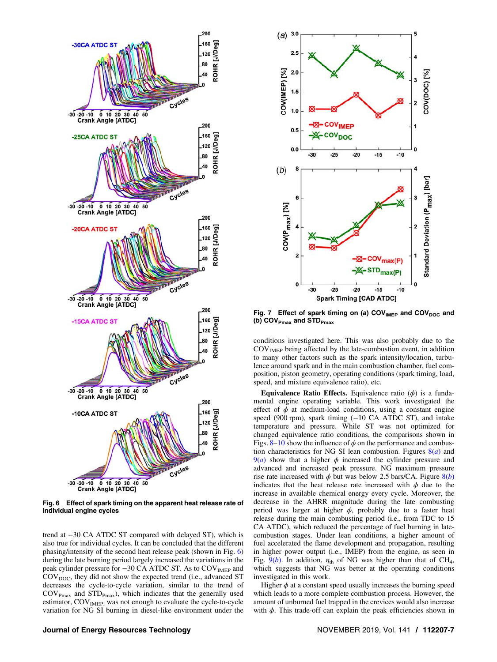<span id="page-6-0"></span>

Fig. 6 Effect of spark timing on the apparent heat release rate of individual engine cycles

trend at −30 CA ATDC ST compared with delayed ST), which is also true for individual cycles. It can be concluded that the different phasing/intensity of the second heat release peak (shown in Fig. 6) during the late burning period largely increased the variations in the peak cylinder pressure for −30 CA ATDC ST. As to COV<sub>IMEP</sub> and  $\text{COV}_{\text{DOC}}$ , they did not show the expected trend (i.e., advanced ST decreases the cycle-to-cycle variation, similar to the trend of  $\text{COV}_{\text{Pmax}}$  and  $\text{STD}_{\text{Pmax}}$ ), which indicates that the generally used estimator, COV<sub>IMEP,</sub> was not enough to evaluate the cycle-to-cycle variation for NG SI burning in diesel-like environment under the



Fig. 7 Effect of spark timing on (a) COV $_{\text{IMEP}}$  and COV<sub>DOC</sub> and (b)  $COV_{Pmax}$  and  $STD_{Pmax}$ 

conditions investigated here. This was also probably due to the  $COV<sub>IMEP</sub>$  being affected by the late-combustion event, in addition to many other factors such as the spark intensity/location, turbulence around spark and in the main combustion chamber, fuel composition, piston geometry, operating conditions (spark timing, load, speed, and mixture equivalence ratio), etc.

Equivalence Ratio Effects. Equivalence ratio  $(\phi)$  is a fundamental engine operating variable. This work investigated the effect of  $\phi$  at medium-load conditions, using a constant engine speed (900 rpm), spark timing (-10 CA ATDC ST), and intake temperature and pressure. While ST was not optimized for changed equivalence ratio conditions, the comparisons shown in Figs.  $8-10$  $8-10$  $8-10$  show the influence of  $\phi$  on the performance and combustion characteristics for NG SI lean combustion. Figures  $8(a)$  $8(a)$  and  $9(a)$  $9(a)$  show that a higher  $\phi$  increased the cylinder pressure and advanced and increased peak pressure. NG maximum pressure rise rate increased with  $\phi$  but was below 2.5 bars/CA. Figure  $8(b)$  $8(b)$ indicates that the heat release rate increased with  $\phi$  due to the increase in available chemical energy every cycle. Moreover, the decrease in the AHRR magnitude during the late combusting period was larger at higher  $\phi$ , probably due to a faster heat release during the main combusting period (i.e., from TDC to 15 CA ATDC), which reduced the percentage of fuel burning in latecombustion stages. Under lean conditions, a higher amount of fuel accelerated the flame development and propagation, resulting in higher power output (i.e., IMEP) from the engine, as seen in Fig.  $9(b)$  $9(b)$ . In addition,  $\eta_{th}$  of NG was higher than that of CH<sub>4</sub>, which suggests that NG was better at the operating conditions investigated in this work.

Higher  $\phi$  at a constant speed usually increases the burning speed which leads to a more complete combustion process. However, the amount of unburned fuel trapped in the crevices would also increase with  $\phi$ . This trade-off can explain the peak efficiencies shown in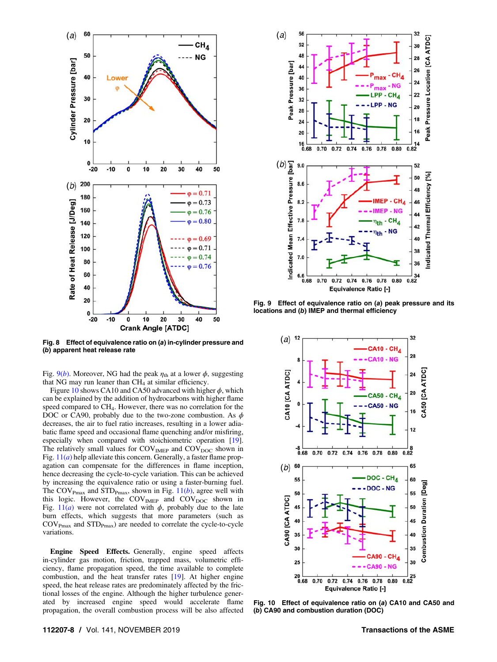<span id="page-7-0"></span>

Fig. 8 Effect of equivalence ratio on (a) in-cylinder pressure and (b) apparent heat release rate

Fig.  $9(b)$ . Moreover, NG had the peak  $\eta_{\text{th}}$  at a lower  $\phi$ , suggesting that NG may run leaner than  $CH<sub>4</sub>$  at similar efficiency.

Figure 10 shows CA10 and CA50 advanced with higher  $\phi$ , which can be explained by the addition of hydrocarbons with higher flame speed compared to CH4. However, there was no correlation for the DOC or CA90, probably due to the two-zone combustion. As  $\phi$ decreases, the air to fuel ratio increases, resulting in a lower adiabatic flame speed and occasional flame quenching and/or misfiring, especially when compared with stoichiometric operation [[19\]](#page-11-0). The relatively small values for  $\text{COV}_{\text{IMEP}}$  and  $\text{COV}_{\text{DOC}}$  shown in Fig.  $11(a)$  $11(a)$  help alleviate this concern. Generally, a faster flame propagation can compensate for the differences in flame inception, hence decreasing the cycle-to-cycle variation. This can be achieved by increasing the equivalence ratio or using a faster-burning fuel. The COV<sub>Pmax</sub> and STD<sub>Pmax</sub>, shown in Fig.  $11(b)$  $11(b)$ , agree well with this logic. However, the  $COV<sub>IMEP</sub>$  and  $COV<sub>DOC</sub>$  shown in Fig.  $11(a)$  $11(a)$  were not correlated with  $\phi$ , probably due to the late burn effects, which suggests that more parameters (such as  $\text{COV}_{\text{Pmax}}$  and  $\text{STD}_{\text{Pmax}}$ ) are needed to correlate the cycle-to-cycle variations.

Engine Speed Effects. Generally, engine speed affects in-cylinder gas motion, friction, trapped mass, volumetric efficiency, flame propagation speed, the time available to complete combustion, and the heat transfer rates [[19\]](#page-11-0). At higher engine speed, the heat release rates are predominately affected by the frictional losses of the engine. Although the higher turbulence generated by increased engine speed would accelerate flame propagation, the overall combustion process will be also affected



Fig. 9 Effect of equivalence ratio on (a) peak pressure and its locations and (b) IMEP and thermal efficiency



Fig. 10 Effect of equivalence ratio on (a) CA10 and CA50 and (b) CA90 and combustion duration (DOC)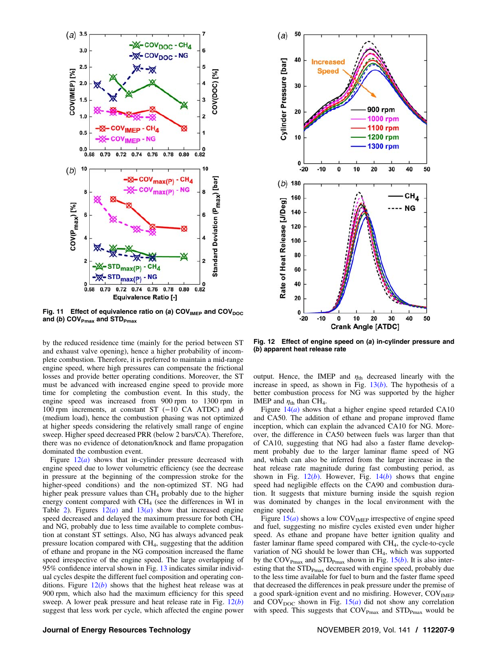<span id="page-8-0"></span>

Fig. 11 Effect of equivalence ratio on (a)  $COV<sub>IMEP</sub>$  and  $COV<sub>DOC</sub>$ and (b) COV $_{\text{Pmax}}$  and STD $_{\text{Pmax}}$ 

by the reduced residence time (mainly for the period between ST and exhaust valve opening), hence a higher probability of incomplete combustion. Therefore, it is preferred to maintain a mid-range engine speed, where high pressures can compensate the frictional losses and provide better operating conditions. Moreover, the ST must be advanced with increased engine speed to provide more time for completing the combustion event. In this study, the engine speed was increased from 900 rpm to 1300 rpm in 100 rpm increments, at constant ST (−10 CA ATDC) and  $\phi$ (medium load), hence the combustion phasing was not optimized at higher speeds considering the relatively small range of engine sweep. Higher speed decreased PRR (below 2 bars/CA). Therefore, there was no evidence of detonation/knock and flame propagation dominated the combustion event.

Figure  $12(a)$  shows that in-cylinder pressure decreased with engine speed due to lower volumetric efficiency (see the decrease in pressure at the beginning of the compression stroke for the higher-speed conditions) and the non-optimized ST. NG had higher peak pressure values than  $CH_4$  probably due to the higher energy content compared with  $CH<sub>4</sub>$  (see the differences in WI in Table [2](#page-2-0)). Figures  $12(a)$  and  $13(a)$  $13(a)$  show that increased engine speed decreased and delayed the maximum pressure for both CH<sub>4</sub> and NG, probably due to less time available to complete combustion at constant ST settings. Also, NG has always advanced peak pressure location compared with CH4, suggesting that the addition of ethane and propane in the NG composition increased the flame speed irrespective of the engine speed. The large overlapping of 95% confidence interval shown in Fig. [13](#page-9-0) indicates similar individual cycles despite the different fuel composition and operating conditions. Figure  $12(b)$  shows that the highest heat release was at 900 rpm, which also had the maximum efficiency for this speed sweep. A lower peak pressure and heat release rate in Fig.  $12(b)$ suggest that less work per cycle, which affected the engine power



Fig. 12 Effect of engine speed on (a) in-cylinder pressure and (b) apparent heat release rate

output. Hence, the IMEP and  $\eta_{\text{th}}$  decreased linearly with the increase in speed, as shown in Fig.  $13(b)$  $13(b)$ . The hypothesis of a better combustion process for NG was supported by the higher IMEP and  $\eta_{\text{th}}$  than CH<sub>4</sub>.

Figure  $14(a)$  $14(a)$  shows that a higher engine speed retarded CA10 and CA50. The addition of ethane and propane improved flame inception, which can explain the advanced CA10 for NG. Moreover, the difference in CA50 between fuels was larger than that of CA10, suggesting that NG had also a faster flame development probably due to the larger laminar flame speed of NG and, which can also be inferred from the larger increase in the heat release rate magnitude during fast combusting period, as shown in Fig.  $12(b)$ . However, Fig.  $14(b)$  $14(b)$  shows that engine speed had negligible effects on the CA90 and combustion duration. It suggests that mixture burning inside the squish region was dominated by changes in the local environment with the engine speed.

Figure  $15(a)$  $15(a)$  shows a low COV<sub>IMEP</sub> irrespective of engine speed and fuel, suggesting no misfire cycles existed even under higher speed. As ethane and propane have better ignition quality and faster laminar flame speed compared with CH4, the cycle-to-cycle variation of NG should be lower than CH4, which was supported by the COV<sub>Pmax</sub> and STD<sub>Pmax</sub> shown in Fig. [15\(](#page-9-0)b). It is also interesting that the  $STD_{Pmax}$  decreased with engine speed, probably due to the less time available for fuel to burn and the faster flame speed that decreased the differences in peak pressure under the premise of a good spark-ignition event and no misfiring. However, COV<sub>IMEP</sub> and  $COV_{DOC}$  shown in Fig.  $15(a)$  $15(a)$  did not show any correlation with speed. This suggests that  $COV_{Pmax}$  and  $STD_{Pmax}$  would be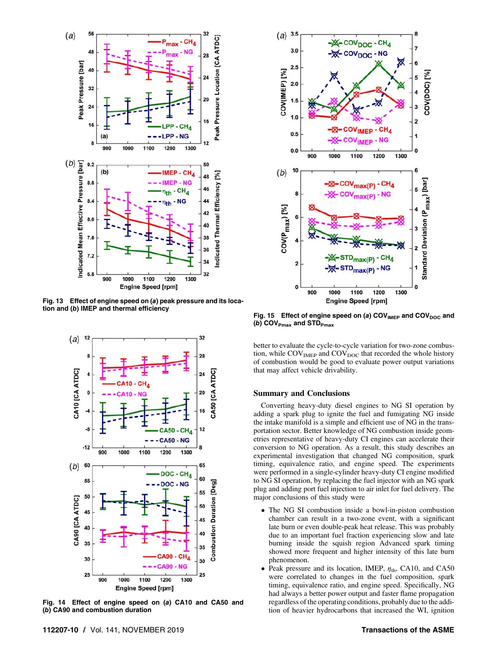<span id="page-9-0"></span>

Fig. 13 Effect of engine speed on (a) peak pressure and its location and (b) IMEP and thermal efficiency



Fig. 14 Effect of engine speed on (a) CA10 and CA50 and (b) CA90 and combustion duration



Fig. 15 Effect of engine speed on (a)  $COV<sub>IMEP</sub>$  and  $COV<sub>DOC</sub>$  and (b)  $COV_{Pmax}$  and  $STD_{Pmax}$ 

better to evaluate the cycle-to-cycle variation for two-zone combustion, while COV<sub>IMEP</sub> and COV<sub>DOC</sub> that recorded the whole history of combustion would be good to evaluate power output variations that may affect vehicle drivability.

#### Summary and Conclusions

Converting heavy-duty diesel engines to NG SI operation by adding a spark plug to ignite the fuel and fumigating NG inside the intake manifold is a simple and efficient use of NG in the transportation sector. Better knowledge of NG combustion inside geometries representative of heavy-duty CI engines can accelerate their conversion to NG operation. As a result, this study describes an experimental investigation that changed NG composition, spark timing, equivalence ratio, and engine speed. The experiments were performed in a single-cylinder heavy-duty CI engine modified to NG SI operation, by replacing the fuel injector with an NG spark plug and adding port fuel injection to air inlet for fuel delivery. The major conclusions of this study were

- The NG SI combustion inside a bowl-in-piston combustion chamber can result in a two-zone event, with a significant late burn or even double-peak heat release. This was probably due to an important fuel fraction experiencing slow and late burning inside the squish region Advanced spark timing showed more frequent and higher intensity of this late burn phenomenon.
- Peak pressure and its location, IMEP,  $\eta_{\text{th}}$ , CA10, and CA50 were correlated to changes in the fuel composition, spark timing, equivalence ratio, and engine speed. Specifically, NG had always a better power output and faster flame propagation regardless of the operating conditions, probably due to the addition of heavier hydrocarbons that increased the WI, ignition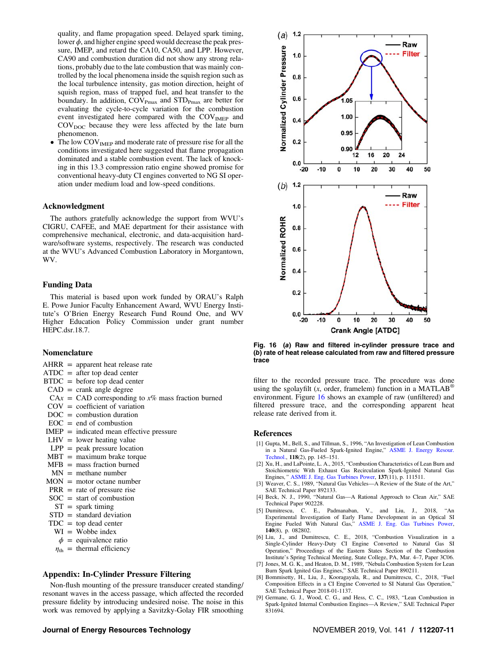<span id="page-10-0"></span>quality, and flame propagation speed. Delayed spark timing, lower  $\phi$ , and higher engine speed would decrease the peak pressure, IMEP, and retard the CA10, CA50, and LPP. However, CA90 and combustion duration did not show any strong relations, probably due to the late combustion that was mainly controlled by the local phenomena inside the squish region such as the local turbulence intensity, gas motion direction, height of squish region, mass of trapped fuel, and heat transfer to the boundary. In addition,  $COV_{Pmax}$  and  $STD_{Pmax}$  are better for evaluating the cycle-to-cycle variation for the combustion event investigated here compared with the COV<sub>IMEP</sub> and  $COV<sub>DOC</sub>$  because they were less affected by the late burn phenomenon.

• The low COV<sub>IMEP</sub> and moderate rate of pressure rise for all the conditions investigated here suggested that flame propagation dominated and a stable combustion event. The lack of knocking in this 13.3 compression ratio engine showed promise for conventional heavy-duty CI engines converted to NG SI operation under medium load and low-speed conditions.

### Acknowledgment

The authors gratefully acknowledge the support from WVU's CIGRU, CAFEE, and MAE department for their assistance with comprehensive mechanical, electronic, and data-acquisition hardware/software systems, respectively. The research was conducted at the WVU's Advanced Combustion Laboratory in Morgantown, WV.

## Funding Data

This material is based upon work funded by ORAU's Ralph E. Powe Junior Faculty Enhancement Award, WVU Energy Institute's O'Brien Energy Research Fund Round One, and WV Higher Education Policy Commission under grant number HEPC.dsr.18.7.

## Nomenclature

- $AHRR = apparent heat release rate$
- $ATDC =$  after top dead center
- BTDC = before top dead center
- $CAD = \text{crank angle degree}$
- $CAx = CAD$  corresponding to  $x\%$  mass fraction burned
- $COV = \text{coefficient of variation}$
- $DOC = combustion duration$
- $EOC = end of$  combustion
- IMEP = indicated mean effective pressure
- $LHV = lower heating value$
- $LPP = peak pressure location$
- $MBT =$  maximum brake torque
- $MFB$  = mass fraction burned
- $MN =$  methane number
- $MON = motor octane number$
- $PRR =$  rate of pressure rise
- $SOC = start of$  combustion
- $ST =$  spark timing
- STD = standard deviation
- $TDC = top dead center$
- $WI = Wobbe index$
- $\phi$  = equivalence ratio
- $\eta_{\text{th}}$  = thermal efficiency

# Appendix: In-Cylinder Pressure Filtering

Non-flush mounting of the pressure transducer created standing/ resonant waves in the access passage, which affected the recorded pressure fidelity by introducing undesired noise. The noise in this work was removed by applying a Savitzky-Golay FIR smoothing

# Journal of Energy Resources Technology November 2019, Vol. 141 / 112207-11



Fig. 16 (a) Raw and filtered in-cylinder pressure trace and (b) rate of heat release calculated from raw and filtered pressure trace

filter to the recorded pressure trace. The procedure was done using the sgolayfilt (x, order, framelem) function in a MATLAB<sup>®</sup> environment. Figure 16 shows an example of raw (unfiltered) and filtered pressure trace, and the corresponding apparent heat release rate derived from it.

## References

- [1] Gupta, M., Bell, S., and Tillman, S., 1996, "An Investigation of Lean Combustion in a Natural Gas-Fueled Spark-Ignited Engine," [ASME J. Energy Resour.](http://dx.doi.org/10.1115/1.2792706) [Technol.,](http://dx.doi.org/10.1115/1.2792706) 118(2), pp. 145–151.
- [2] Xu, H., and LaPointe, L. A., 2015, "Combustion Characteristics of Lean Burn and Stoichiometric With Exhaust Gas Recirculation Spark-Ignited Natural Gas Engines," [ASME J. Eng. Gas Turbines Power,](http://dx.doi.org/10.1115/1.4030500)  $137(11)$ , p.  $111511$ .
- [3] Weaver, C. S., 1989, "Natural Gas Vehicles—A Review of the State of the Art," SAE Technical Paper 892133.
- [4] Beck, N. J., 1990, "Natural Gas—A Rational Approach to Clean Air," SAE Technical Paper 902228.
- [5] Dumitrescu, C. E., Padmanaban, V., and Liu, J., 2018, "An Experimental Investigation of Early Flame Development in an Optical SI Engine Fueled With Natural Gas," [ASME J. Eng. Gas Turbines Power](http://dx.doi.org/10.1115/1.4039616), 140(8), p. 082802.
- [6] Liu, J., and Dumitrescu, C. E., 2018, "Combustion Visualization in a Single-Cylinder Heavy-Duty CI Engine Converted to Natural Gas SI Operation," Proceedings of the Eastern States Section of the Combustion Institute's Spring Technical Meeting, State College, PA, Mar. 4–7, Paper 3C06.
- [7] Jones, M. G. K., and Heaton, D. M., 1989, "Nebula Combustion System for Lean Burn Spark Ignited Gas Engines," SAE Technical Paper 890211.
- [8] Bommisetty, H., Liu, J., Kooragayala, R., and Dumitrescu, C., 2018, "Fuel Composition Effects in a CI Engine Converted to SI Natural Gas Operation," SAE Technical Paper 2018-01-1137.
- [9] Germane, G. J., Wood, C. G., and Hess, C. C., 1983, "Lean Combustion in Spark-Ignited Internal Combustion Engines—A Review," SAE Technical Paper 831694.